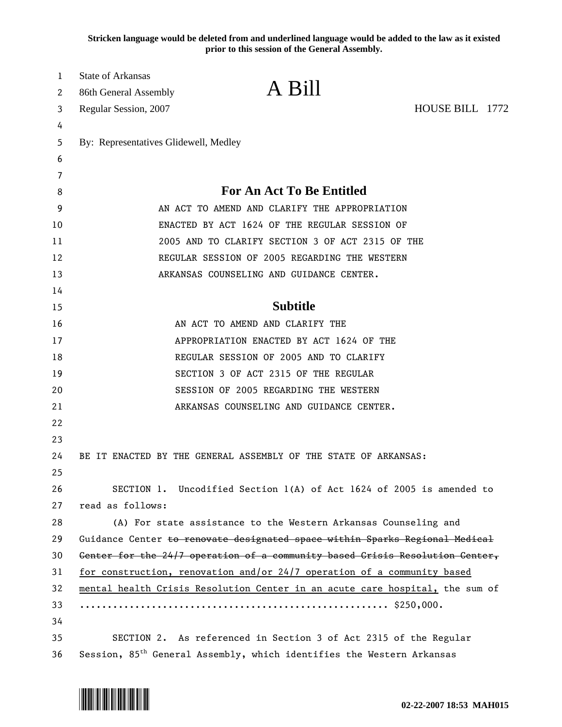**Stricken language would be deleted from and underlined language would be added to the law as it existed prior to this session of the General Assembly.**

| $\mathbf{1}$<br>2 | <b>State of Arkansas</b><br>86th General Assembly                                 | A Bill                                                                                                                                                  |                 |  |
|-------------------|-----------------------------------------------------------------------------------|---------------------------------------------------------------------------------------------------------------------------------------------------------|-----------------|--|
| 3                 | Regular Session, 2007                                                             |                                                                                                                                                         | HOUSE BILL 1772 |  |
| 4                 |                                                                                   |                                                                                                                                                         |                 |  |
| 5                 | By: Representatives Glidewell, Medley                                             |                                                                                                                                                         |                 |  |
| 6                 |                                                                                   |                                                                                                                                                         |                 |  |
| 7                 |                                                                                   |                                                                                                                                                         |                 |  |
| 8                 |                                                                                   | <b>For An Act To Be Entitled</b>                                                                                                                        |                 |  |
| 9                 |                                                                                   | AN ACT TO AMEND AND CLARIFY THE APPROPRIATION                                                                                                           |                 |  |
| 10                |                                                                                   | ENACTED BY ACT 1624 OF THE REGULAR SESSION OF                                                                                                           |                 |  |
| 11                |                                                                                   | 2005 AND TO CLARIFY SECTION 3 OF ACT 2315 OF THE                                                                                                        |                 |  |
| 12                |                                                                                   | REGULAR SESSION OF 2005 REGARDING THE WESTERN<br>ARKANSAS COUNSELING AND GUIDANCE CENTER.                                                               |                 |  |
| 13                |                                                                                   |                                                                                                                                                         |                 |  |
| 14                |                                                                                   |                                                                                                                                                         |                 |  |
| 15                | <b>Subtitle</b>                                                                   |                                                                                                                                                         |                 |  |
| 16                |                                                                                   | AN ACT TO AMEND AND CLARIFY THE                                                                                                                         |                 |  |
| 17                |                                                                                   | APPROPRIATION ENACTED BY ACT 1624 OF THE<br>REGULAR SESSION OF 2005 AND TO CLARIFY                                                                      |                 |  |
| 18                |                                                                                   |                                                                                                                                                         |                 |  |
| 19                |                                                                                   | SECTION 3 OF ACT 2315 OF THE REGULAR                                                                                                                    |                 |  |
| 20                |                                                                                   | SESSION OF 2005 REGARDING THE WESTERN                                                                                                                   |                 |  |
| 21                |                                                                                   | ARKANSAS COUNSELING AND GUIDANCE CENTER.                                                                                                                |                 |  |
| 22                |                                                                                   |                                                                                                                                                         |                 |  |
| 23                |                                                                                   |                                                                                                                                                         |                 |  |
| 24                |                                                                                   | BE IT ENACTED BY THE GENERAL ASSEMBLY OF THE STATE OF ARKANSAS:                                                                                         |                 |  |
| 25                |                                                                                   |                                                                                                                                                         |                 |  |
| 26                |                                                                                   | SECTION 1. Uncodified Section 1(A) of Act 1624 of 2005 is amended to                                                                                    |                 |  |
| 27                | read as follows:                                                                  |                                                                                                                                                         |                 |  |
| 28                |                                                                                   | (A) For state assistance to the Western Arkansas Counseling and                                                                                         |                 |  |
| 29                |                                                                                   | Guidance Center to renovate designated space within Sparks Regional Medical                                                                             |                 |  |
| 30                |                                                                                   | Center for the 24/7 operation of a community based Crisis Resolution Center,                                                                            |                 |  |
| 31                |                                                                                   |                                                                                                                                                         |                 |  |
| 32                |                                                                                   | for construction, renovation and/or 24/7 operation of a community based<br>mental health Crisis Resolution Center in an acute care hospital, the sum of |                 |  |
| 33                |                                                                                   |                                                                                                                                                         |                 |  |
| 34                |                                                                                   |                                                                                                                                                         |                 |  |
| 35                | SECTION 2. As referenced in Section 3 of Act 2315 of the Regular                  |                                                                                                                                                         |                 |  |
| 36                | Session, 85 <sup>th</sup> General Assembly, which identifies the Western Arkansas |                                                                                                                                                         |                 |  |

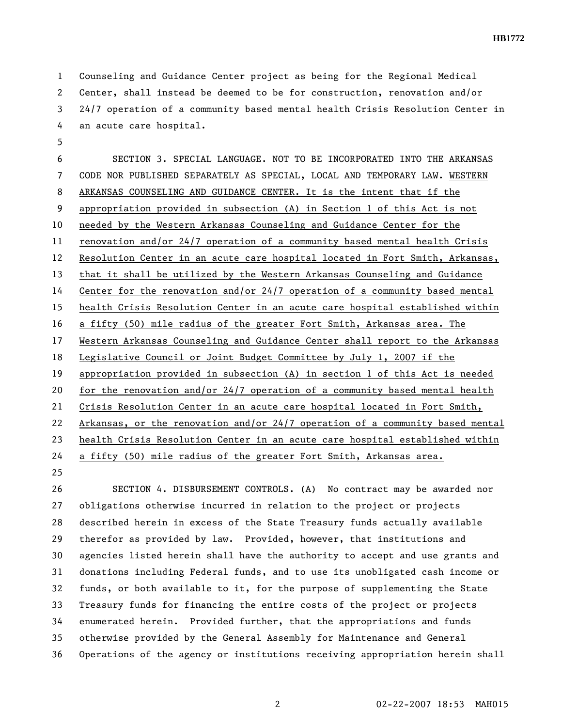1 Counseling and Guidance Center project as being for the Regional Medical 2 Center, shall instead be deemed to be for construction, renovation and/or 3 24/7 operation of a community based mental health Crisis Resolution Center in 4 an acute care hospital.

5 6 SECTION 3. SPECIAL LANGUAGE. NOT TO BE INCORPORATED INTO THE ARKANSAS 7 CODE NOR PUBLISHED SEPARATELY AS SPECIAL, LOCAL AND TEMPORARY LAW. WESTERN 8 ARKANSAS COUNSELING AND GUIDANCE CENTER. It is the intent that if the 9 appropriation provided in subsection (A) in Section 1 of this Act is not 10 needed by the Western Arkansas Counseling and Guidance Center for the 11 renovation and/or 24/7 operation of a community based mental health Crisis 12 Resolution Center in an acute care hospital located in Fort Smith, Arkansas, 13 that it shall be utilized by the Western Arkansas Counseling and Guidance 14 Center for the renovation and/or 24/7 operation of a community based mental 15 health Crisis Resolution Center in an acute care hospital established within 16 a fifty (50) mile radius of the greater Fort Smith, Arkansas area. The 17 Western Arkansas Counseling and Guidance Center shall report to the Arkansas 18 Legislative Council or Joint Budget Committee by July 1, 2007 if the 19 appropriation provided in subsection (A) in section 1 of this Act is needed 20 for the renovation and/or 24/7 operation of a community based mental health 21 Crisis Resolution Center in an acute care hospital located in Fort Smith, 22 Arkansas, or the renovation and/or 24/7 operation of a community based mental 23 health Crisis Resolution Center in an acute care hospital established within 24 a fifty (50) mile radius of the greater Fort Smith, Arkansas area.

25

26 SECTION 4. DISBURSEMENT CONTROLS. (A) No contract may be awarded nor 27 obligations otherwise incurred in relation to the project or projects 28 described herein in excess of the State Treasury funds actually available 29 therefor as provided by law. Provided, however, that institutions and 30 agencies listed herein shall have the authority to accept and use grants and 31 donations including Federal funds, and to use its unobligated cash income or 32 funds, or both available to it, for the purpose of supplementing the State 33 Treasury funds for financing the entire costs of the project or projects 34 enumerated herein. Provided further, that the appropriations and funds 35 otherwise provided by the General Assembly for Maintenance and General 36 Operations of the agency or institutions receiving appropriation herein shall